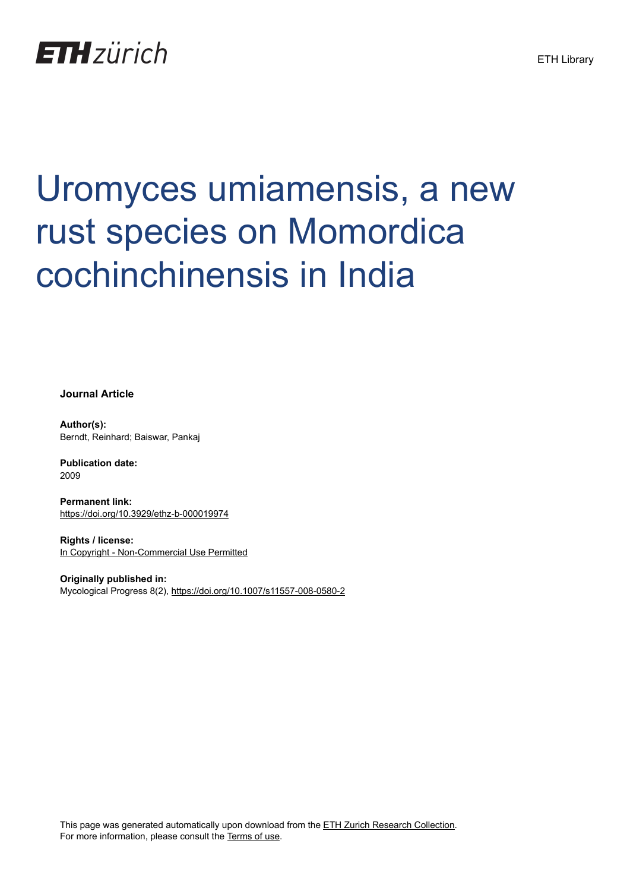## **ETH**zürich

# Uromyces umiamensis, a new rust species on Momordica cochinchinensis in India

**Journal Article**

**Author(s):** Berndt, Reinhard; Baiswar, Pankaj

**Publication date:** 2009

**Permanent link:** <https://doi.org/10.3929/ethz-b-000019974>

**Rights / license:** [In Copyright - Non-Commercial Use Permitted](http://rightsstatements.org/page/InC-NC/1.0/)

**Originally published in:** Mycological Progress 8(2),<https://doi.org/10.1007/s11557-008-0580-2>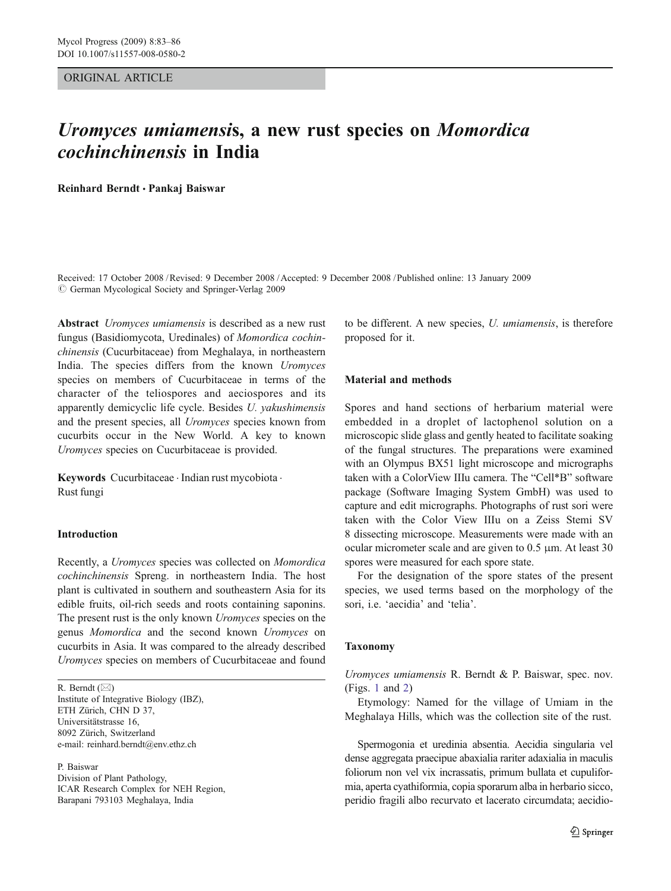#### ORIGINAL ARTICLE

### Uromyces umiamensis, a new rust species on Momordica cochinchinensis in India

Reinhard Berndt *&* Pankaj Baiswar

Received: 17 October 2008 /Revised: 9 December 2008 /Accepted: 9 December 2008 / Published online: 13 January 2009  $\circ$  German Mycological Society and Springer-Verlag 2009

Abstract *Uromyces umiamensis* is described as a new rust fungus (Basidiomycota, Uredinales) of Momordica cochinchinensis (Cucurbitaceae) from Meghalaya, in northeastern India. The species differs from the known Uromyces species on members of Cucurbitaceae in terms of the character of the teliospores and aeciospores and its apparently demicyclic life cycle. Besides U. yakushimensis and the present species, all Uromyces species known from cucurbits occur in the New World. A key to known Uromyces species on Cucurbitaceae is provided.

Keywords Cucurbitaceae · Indian rust mycobiota · Rust fungi

#### Introduction

Recently, a Uromyces species was collected on Momordica cochinchinensis Spreng. in northeastern India. The host plant is cultivated in southern and southeastern Asia for its edible fruits, oil-rich seeds and roots containing saponins. The present rust is the only known *Uromyces* species on the genus Momordica and the second known Uromyces on cucurbits in Asia. It was compared to the already described Uromyces species on members of Cucurbitaceae and found

R. Berndt  $(\boxtimes)$ 

Institute of Integrative Biology (IBZ), ETH Zürich, CHN D 37, Universitätstrasse 16, 8092 Zürich, Switzerland e-mail: reinhard.berndt@env.ethz.ch

P. Baiswar Division of Plant Pathology, ICAR Research Complex for NEH Region, Barapani 793103 Meghalaya, India

to be different. A new species, U. umiamensis, is therefore proposed for it.

#### Material and methods

Spores and hand sections of herbarium material were embedded in a droplet of lactophenol solution on a microscopic slide glass and gently heated to facilitate soaking of the fungal structures. The preparations were examined with an Olympus BX51 light microscope and micrographs taken with a ColorView IIIu camera. The "Cell\*B" software package (Software Imaging System GmbH) was used to capture and edit micrographs. Photographs of rust sori were taken with the Color View IIIu on a Zeiss Stemi SV 8 dissecting microscope. Measurements were made with an ocular micrometer scale and are given to 0.5 μm. At least 30 spores were measured for each spore state.

For the designation of the spore states of the present species, we used terms based on the morphology of the sori, i.e. 'aecidia' and 'telia'.

#### Taxonomy

Uromyces umiamensis R. Berndt & P. Baiswar, spec. nov. (Figs. [1](#page-2-0) and [2](#page-3-0))

Etymology: Named for the village of Umiam in the Meghalaya Hills, which was the collection site of the rust.

Spermogonia et uredinia absentia. Aecidia singularia vel dense aggregata praecipue abaxialia rariter adaxialia in maculis foliorum non vel vix incrassatis, primum bullata et cupuliformia, aperta cyathiformia, copia sporarum alba in herbario sicco, peridio fragili albo recurvato et lacerato circumdata; aecidio-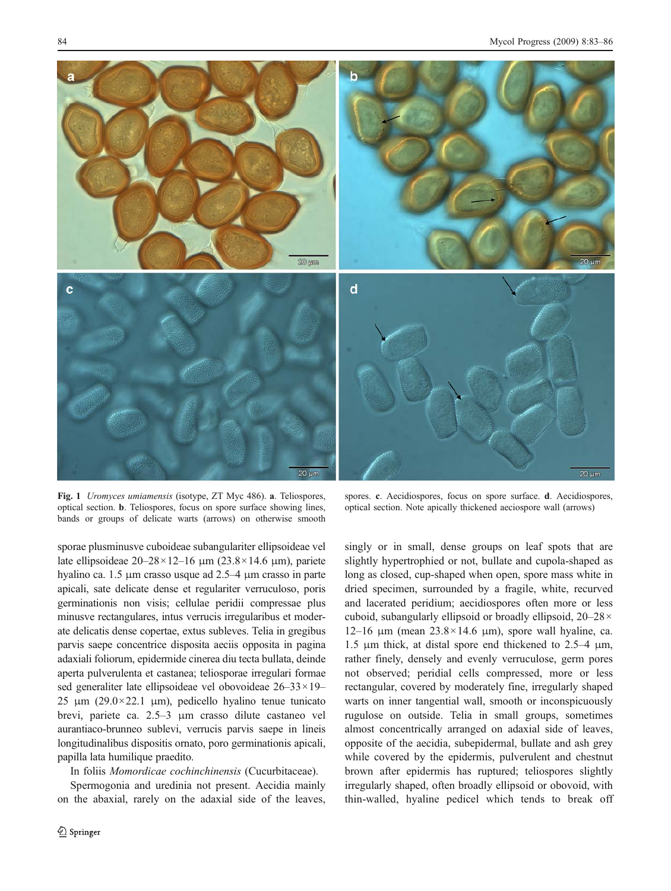<span id="page-2-0"></span>

Fig. 1 Uromyces umiamensis (isotype, ZT Myc 486). a. Teliospores, optical section. b. Teliospores, focus on spore surface showing lines, bands or groups of delicate warts (arrows) on otherwise smooth

spores. c. Aecidiospores, focus on spore surface. d. Aecidiospores, optical section. Note apically thickened aeciospore wall (arrows)

sporae plusminusve cuboideae subangulariter ellipsoideae vel late ellipsoideae  $20-28 \times 12-16$  μm  $(23.8 \times 14.6$  μm), pariete hyalino ca. 1.5 μm crasso usque ad 2.5–4 μm crasso in parte apicali, sate delicate dense et regulariter verruculoso, poris germinationis non visis; cellulae peridii compressae plus minusve rectangulares, intus verrucis irregularibus et moderate delicatis dense copertae, extus subleves. Telia in gregibus parvis saepe concentrice disposita aeciis opposita in pagina adaxiali foliorum, epidermide cinerea diu tecta bullata, deinde aperta pulverulenta et castanea; teliosporae irregulari formae sed generaliter late ellipsoideae vel obovoideae 26–33×19– 25 μm (29.0×22.1 μm), pedicello hyalino tenue tunicato brevi, pariete ca. 2.5–3 μm crasso dilute castaneo vel aurantiaco-brunneo sublevi, verrucis parvis saepe in lineis longitudinalibus dispositis ornato, poro germinationis apicali, papilla lata humilique praedito.

In foliis Momordicae cochinchinensis (Cucurbitaceae).

Spermogonia and uredinia not present. Aecidia mainly on the abaxial, rarely on the adaxial side of the leaves,

singly or in small, dense groups on leaf spots that are slightly hypertrophied or not, bullate and cupola-shaped as long as closed, cup-shaped when open, spore mass white in dried specimen, surrounded by a fragile, white, recurved and lacerated peridium; aecidiospores often more or less cuboid, subangularly ellipsoid or broadly ellipsoid, 20–28× 12–16 μm (mean  $23.8 \times 14.6$  μm), spore wall hyaline, ca. 1.5 μm thick, at distal spore end thickened to 2.5–4 μm, rather finely, densely and evenly verruculose, germ pores not observed; peridial cells compressed, more or less rectangular, covered by moderately fine, irregularly shaped warts on inner tangential wall, smooth or inconspicuously rugulose on outside. Telia in small groups, sometimes almost concentrically arranged on adaxial side of leaves, opposite of the aecidia, subepidermal, bullate and ash grey while covered by the epidermis, pulverulent and chestnut brown after epidermis has ruptured; teliospores slightly irregularly shaped, often broadly ellipsoid or obovoid, with thin-walled, hyaline pedicel which tends to break off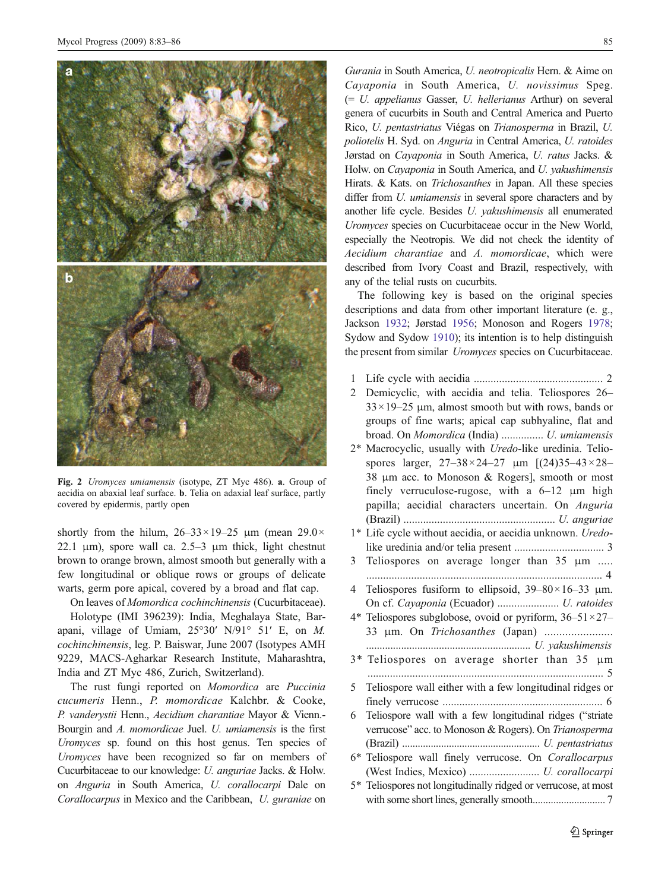<span id="page-3-0"></span>

Fig. 2 Uromyces umiamensis (isotype, ZT Myc 486). a. Group of aecidia on abaxial leaf surface. b. Telia on adaxial leaf surface, partly covered by epidermis, partly open

shortly from the hilum,  $26-33\times19-25$  μm (mean  $29.0\times$ 22.1  $\mu$ m), spore wall ca. 2.5–3  $\mu$ m thick, light chestnut brown to orange brown, almost smooth but generally with a few longitudinal or oblique rows or groups of delicate warts, germ pore apical, covered by a broad and flat cap.

On leaves of Momordica cochinchinensis (Cucurbitaceae).

Holotype (IMI 396239): India, Meghalaya State, Barapani, village of Umiam, 25°30′ N/91° 51′ E, on M. cochinchinensis, leg. P. Baiswar, June 2007 (Isotypes AMH 9229, MACS-Agharkar Research Institute, Maharashtra, India and ZT Myc 486, Zurich, Switzerland).

The rust fungi reported on Momordica are Puccinia cucumeris Henn., P. momordicae Kalchbr. & Cooke, P. vanderystii Henn., Aecidium charantiae Mayor & Vienn.- Bourgin and A. momordicae Juel. U. umiamensis is the first Uromyces sp. found on this host genus. Ten species of Uromyces have been recognized so far on members of Cucurbitaceae to our knowledge: U. anguriae Jacks. & Holw. on Anguria in South America, U. corallocarpi Dale on Corallocarpus in Mexico and the Caribbean, U. guraniae on

Gurania in South America, U. neotropicalis Hern. & Aime on Cayaponia in South America, U. novissimus Speg. (= U. appelianus Gasser, U. hellerianus Arthur) on several genera of cucurbits in South and Central America and Puerto Rico, U. pentastriatus Viégas on Trianosperma in Brazil, U. poliotelis H. Syd. on Anguria in Central America, U. ratoides Jørstad on Cayaponia in South America, U. ratus Jacks. & Holw. on Cayaponia in South America, and U. yakushimensis Hirats. & Kats. on Trichosanthes in Japan. All these species differ from *U. umiamensis* in several spore characters and by another life cycle. Besides U. yakushimensis all enumerated Uromyces species on Cucurbitaceae occur in the New World, especially the Neotropis. We did not check the identity of Aecidium charantiae and A. momordicae, which were described from Ivory Coast and Brazil, respectively, with any of the telial rusts on cucurbits.

The following key is based on the original species descriptions and data from other important literature (e. g., Jackson [1932](#page-4-0); Jørstad [1956;](#page-4-0) Monoson and Rogers [1978;](#page-4-0) Sydow and Sydow [1910](#page-4-0)); its intention is to help distinguish the present from similar Uromyces species on Cucurbitaceae.

- 1 Life cycle with aecidia .............................................. 2
- 2 Demicyclic, with aecidia and telia. Teliospores 26–  $33 \times 19 - 25$  µm, almost smooth but with rows, bands or groups of fine warts; apical cap subhyaline, flat and broad. On Momordica (India) ............... U. umiamensis
- 2\* Macrocyclic, usually with Uredo-like uredinia. Teliospores larger,  $27-38 \times 24-27$  μm  $[(24)35-43 \times 28-$ 38 μm acc. to Monoson & Rogers], smooth or most finely verruculose-rugose, with a 6–12 μm high papilla; aecidial characters uncertain. On Anguria (Brazil) ...................................................... U. anguriae
- 1\* Life cycle without aecidia, or aecidia unknown. Uredolike uredinia and/or telia present ................................ 3
- 3 Teliospores on average longer than 35 μm ..... .................................................................................... 4
- 4 Teliospores fusiform to ellipsoid, 39–80×16–33 μm. On cf. Cayaponia (Ecuador) ...................... U. ratoides 4\* Teliospores subglobose, ovoid or pyriform,  $36-51\times27-$ 33 μm. On Trichosanthes (Japan) .......................
- ............................................................. U. yakushimensis
- 3\* Teliospores on average shorter than 35 μm .................................................................................... 5
- 5 Teliospore wall either with a few longitudinal ridges or finely verrucose ......................................................... 6
- 6 Teliospore wall with a few longitudinal ridges ("striate verrucose" acc. to Monoson & Rogers). On Trianosperma (Brazil) ..................................................... U. pentastriatus
- 6\* Teliospore wall finely verrucose. On Corallocarpus (West Indies, Mexico) ......................... U. corallocarpi
- 5\* Teliospores not longitudinally ridged or verrucose, at most with some short lines, generally smooth............................ 7